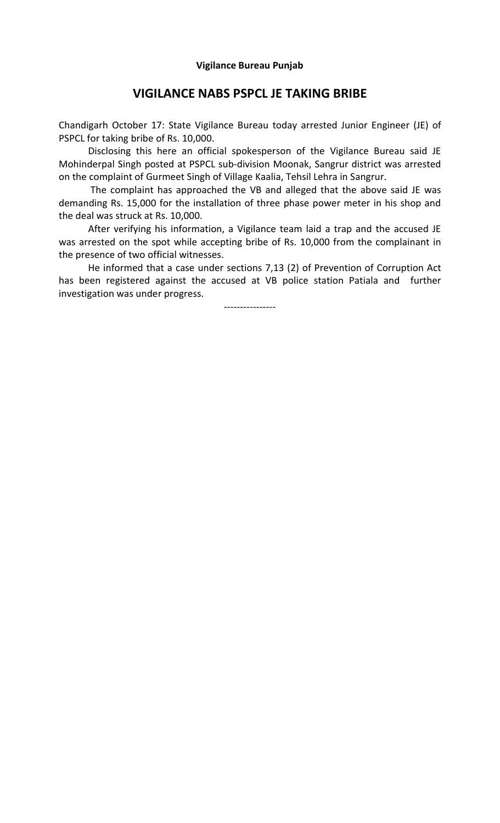## **VIGILANCE NABS PSPCL JE TAKING BRIBE**

Chandigarh October 17: State Vigilance Bureau today arrested Junior Engineer (JE) of PSPCL for taking bribe of Rs. 10,000.

 Disclosing this here an official spokesperson of the Vigilance Bureau said JE Mohinderpal Singh posted at PSPCL sub-division Moonak, Sangrur district was arrested on the complaint of Gurmeet Singh of Village Kaalia, Tehsil Lehra in Sangrur.

 The complaint has approached the VB and alleged that the above said JE was demanding Rs. 15,000 for the installation of three phase power meter in his shop and the deal was struck at Rs. 10,000.

 After verifying his information, a Vigilance team laid a trap and the accused JE was arrested on the spot while accepting bribe of Rs. 10,000 from the complainant in the presence of two official witnesses.

 He informed that a case under sections 7,13 (2) of Prevention of Corruption Act has been registered against the accused at VB police station Patiala and further investigation was under progress.

----------------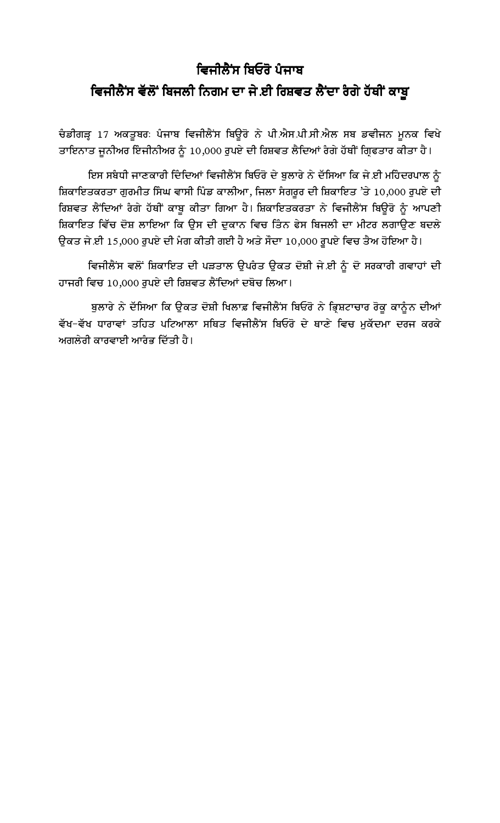## ਵਿਜੀਲੈਂਸ ਬਿਓਰੋ ਪੰਜਾਬ ਵਿਜੀਲੈਂਸ ਵੱਲੋਂ ਬਿਜਲੀ ਨਿਗਮ ਦਾ ਜੇ ਈ ਰਿਸ਼ਵਤ ਲੈਂਦਾ ਰੰਗੇ ਹੱਥੀਂ ਕਾਬੁ

ਚੈਡੀਗੜ੍ਹ 17 ਅਕਤੂਬਰ: ਪੈਜਾਬ ਵਿਜੀਲੈਂਸ ਬਿਊਰੋ ਨੇ ਪੀ.ਐਸ.ਪੀ.ਸੀ.ਐਲ ਸਬ ਡਵੀਜਨ ਮੁਨਕ ਵਿਖੇ ਤਾਇਨਾਤ ਜੁਨੀਅਰ ਇੰਜੀਨੀਅਰ ਨੂੰ 10,000 ਰੁਪਏ ਦੀ ਰਿਸ਼ਵਤ ਲੈਦਿਆਂ ਰੰਗੇ ਹੱਥੀਂ ਗਿਫਤਾਰ ਕੀਤਾ ਹੈ।

ਇਸ ਸਬੰਧੀ ਜਾਣਕਾਰੀ ਦਿੰਦਿਆਂ ਵਿਜੀਲੈਂਸ ਬਿਓਰੋ ਦੇ ਬੁਲਾਰੇ ਨੇ ਦੱਸਿਆ ਕਿ ਜੇ ਈ ਮਹਿੰਦਰਪਾਲ ਨੂੰ ਸ਼ਿਕਾਇਤਕਰਤਾ ਗੁਰਮੀਤ ਸਿੰਘ ਵਾਸੀ ਪਿੰਡ ਕਾਲੀਆ, ਜਿਲਾ ਸੰਗਰੂਰ ਦੀ ਸ਼ਿਕਾਇਤ 'ਤੇ 10,000 ਰੁਪਏ ਦੀ ਰਿਸ਼ਵਤ ਲੈਂਦਿਆਂ ਰੈਗੇ ਹੱਥੀਂ ਕਾਬੂ ਕੀਤਾ ਗਿਆ ਹੈ। ਸ਼ਿਕਾਇਤਕਰਤਾ ਨੇ ਵਿਜੀਲੈਂਸ ਬਿਊਰੋ ਨੂੰ ਆਪਣੀ ਸ਼ਿਕਾਇਤ ਵਿੱਚ ਦੋਸ਼ ਲਾਇਆ ਕਿ ਉਸ ਦੀ ਦੁਕਾਨ ਵਿਚ ਤਿੰਨ ਫੇਸ ਬਿਜਲੀ ਦਾ ਮੀਟਰ ਲਗਾਉਣ ਬਦਲੇ ਉਕਤ ਜੇ ਈ 15,000 ਰੁਪਏ ਦੀ ਮੰਗ ਕੀਤੀ ਗਈ ਹੈ ਅਤੇ ਸੌਦਾ 10,000 ਰੁਪਏ ਵਿਚ ਤੈਅ ਹੋਇਆ ਹੈ।

ਵਿਜੀਲੈਂਸ ਵਲੋਂ ਸ਼ਿਕਾਇਤ ਦੀ ਪੜਤਾਲ ਉਪਰੈਤ ਉਕਤ ਦੋਸ਼ੀ ਜੇ ਈ ਨੂੰ ਦੋ ਸਰਕਾਰੀ ਗਵਾਹਾਂ ਦੀ ਹਾਜਰੀ ਵਿਚ 10,000 ਰਪਏ ਦੀ ਰਿਸ਼ਵਤ ਲੈਂਦਿਆਂ ਦਬੋਚ ਲਿਆ।

ਬੁਲਾਰੇ ਨੇ ਦੱਸਿਆ ਕਿ ਉਕਤ ਦੋਸ਼ੀ ਖਿਲਾਫ਼ ਵਿਜੀਲੈਂਸ ਬਿਓਰੋ ਨੇ ਭਿ੍ਸ਼ਟਾਚਾਰ ਰੋਕੂ ਕਾਨੂੰਨ ਦੀਆਂ ਵੱਖ-ਵੱਖ ਧਾਰਾਵਾਂ ਤਹਿਤ ਪਟਿਆਲਾ ਸਥਿਤ ਵਿਜੀਲੈਂਸ ਬਿਓਰੋ ਦੇ ਥਾਣੇ ਵਿਚ ਮਕੱਦਮਾ ਦਰਜ ਕਰਕੇ ਅਗਲੇਰੀ ਕਾਰਵਾਈ ਆਰੰਭ ਦਿੱਤੀ ਹੈ।